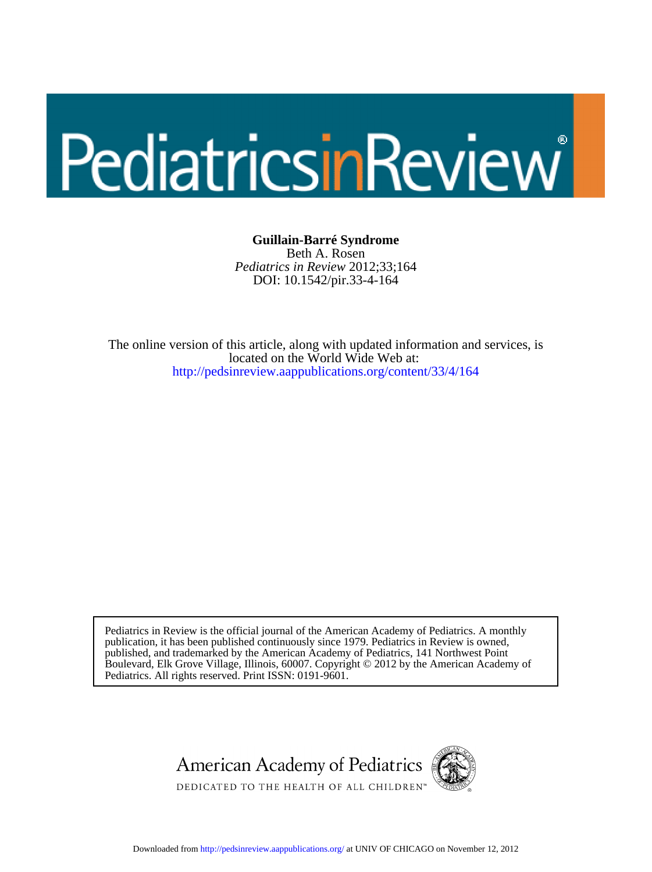# PediatricsinReview

### **Guillain-Barré Syndrome**

DOI: 10.1542/pir.33-4-164 *Pediatrics in Review* 2012;33;164 Beth A. Rosen

[http://pedsinreview.aappublications.org/content/33/4/164](http://http://pedsinreview.aappublications.org/content/33/4/164) located on the World Wide Web at: The online version of this article, along with updated information and services, is

Pediatrics. All rights reserved. Print ISSN: 0191-9601. Boulevard, Elk Grove Village, Illinois, 60007. Copyright © 2012 by the American Academy of published, and trademarked by the American Academy of Pediatrics, 141 Northwest Point publication, it has been published continuously since 1979. Pediatrics in Review is owned, Pediatrics in Review is the official journal of the American Academy of Pediatrics. A monthly



Downloaded from<http://pedsinreview.aappublications.org/>at UNIV OF CHICAGO on November 12, 2012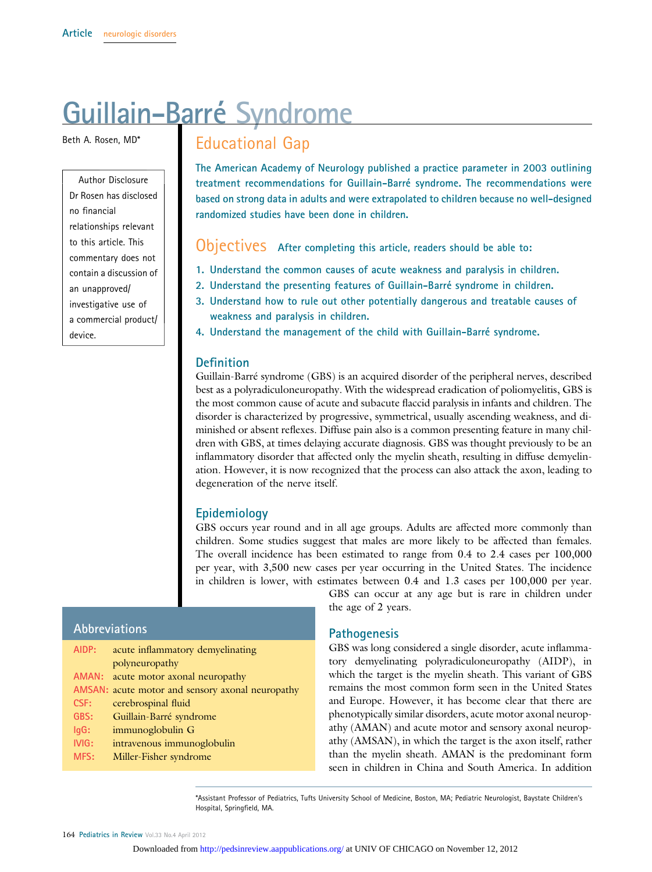# Guillain-Barré Syndrome

Beth A. Rosen, MD\*

Author Disclosure Dr Rosen has disclosed no financial relationships relevant to this article. This commentary does not contain a discussion of an unapproved/ investigative use of a commercial product/ device.

# Educational Gap

The American Academy of Neurology published a practice parameter in 2003 outlining treatment recommendations for Guillain-Barré syndrome. The recommendations were based on strong data in adults and were extrapolated to children because no well-designed randomized studies have been done in children.

Objectives After completing this article, readers should be able to:

- 1. Understand the common causes of acute weakness and paralysis in children.
- 2. Understand the presenting features of Guillain-Barré syndrome in children.
- 3. Understand how to rule out other potentially dangerous and treatable causes of weakness and paralysis in children.
- 4. Understand the management of the child with Guillain-Barré syndrome.

### **Definition**

Guillain-Barré syndrome (GBS) is an acquired disorder of the peripheral nerves, described best as a polyradiculoneuropathy. With the widespread eradication of poliomyelitis, GBS is the most common cause of acute and subacute flaccid paralysis in infants and children. The disorder is characterized by progressive, symmetrical, usually ascending weakness, and diminished or absent reflexes. Diffuse pain also is a common presenting feature in many children with GBS, at times delaying accurate diagnosis. GBS was thought previously to be an inflammatory disorder that affected only the myelin sheath, resulting in diffuse demyelination. However, it is now recognized that the process can also attack the axon, leading to degeneration of the nerve itself.

### Epidemiology

GBS occurs year round and in all age groups. Adults are affected more commonly than children. Some studies suggest that males are more likely to be affected than females. The overall incidence has been estimated to range from 0.4 to 2.4 cases per 100,000 per year, with 3,500 new cases per year occurring in the United States. The incidence in children is lower, with estimates between 0.4 and 1.3 cases per 100,000 per year.

### Abbreviations

| AIDP:   | acute inflammatory demyelinating                 |
|---------|--------------------------------------------------|
|         | polyneuropathy                                   |
|         | AMAN: acute motor axonal neuropathy              |
|         | AMSAN: acute motor and sensory axonal neuropathy |
| CSF:    | cerebrospinal fluid                              |
| GBS:    | Guillain-Barré syndrome                          |
| $lgG$ : | immunoglobulin G                                 |
| IVIG:   | intravenous immunoglobulin                       |
| MFS:    | Miller-Fisher syndrome                           |
|         |                                                  |

GBS can occur at any age but is rare in children under the age of 2 years.

### **Pathogenesis**

GBS was long considered a single disorder, acute inflammatory demyelinating polyradiculoneuropathy (AIDP), in which the target is the myelin sheath. This variant of GBS remains the most common form seen in the United States and Europe. However, it has become clear that there are phenotypically similar disorders, acute motor axonal neuropathy (AMAN) and acute motor and sensory axonal neuropathy (AMSAN), in which the target is the axon itself, rather than the myelin sheath. AMAN is the predominant form seen in children in China and South America. In addition

\*Assistant Professor of Pediatrics, Tufts University School of Medicine, Boston, MA; Pediatric Neurologist, Baystate Children's Hospital, Springfield, MA.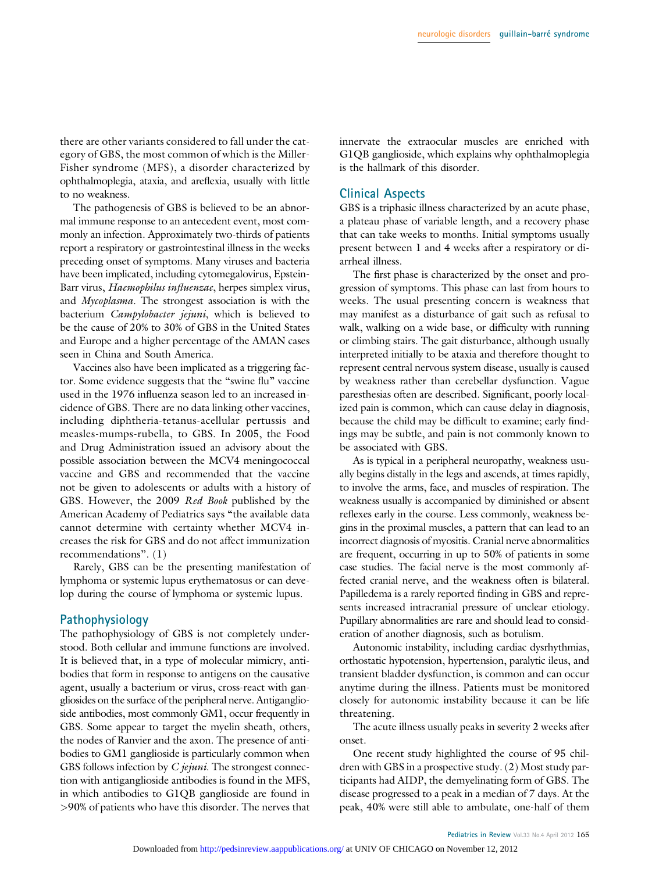there are other variants considered to fall under the category of GBS, the most common of which is the Miller-Fisher syndrome (MFS), a disorder characterized by ophthalmoplegia, ataxia, and areflexia, usually with little to no weakness.

The pathogenesis of GBS is believed to be an abnormal immune response to an antecedent event, most commonly an infection. Approximately two-thirds of patients report a respiratory or gastrointestinal illness in the weeks preceding onset of symptoms. Many viruses and bacteria have been implicated, including cytomegalovirus, Epstein-Barr virus, Haemophilus influenzae, herpes simplex virus, and Mycoplasma. The strongest association is with the bacterium Campylobacter jejuni, which is believed to be the cause of 20% to 30% of GBS in the United States and Europe and a higher percentage of the AMAN cases seen in China and South America.

Vaccines also have been implicated as a triggering factor. Some evidence suggests that the "swine flu" vaccine used in the 1976 influenza season led to an increased incidence of GBS. There are no data linking other vaccines, including diphtheria-tetanus-acellular pertussis and measles-mumps-rubella, to GBS. In 2005, the Food and Drug Administration issued an advisory about the possible association between the MCV4 meningococcal vaccine and GBS and recommended that the vaccine not be given to adolescents or adults with a history of GBS. However, the 2009 Red Book published by the American Academy of Pediatrics says "the available data cannot determine with certainty whether MCV4 increases the risk for GBS and do not affect immunization recommendations". (1)

Rarely, GBS can be the presenting manifestation of lymphoma or systemic lupus erythematosus or can develop during the course of lymphoma or systemic lupus.

### Pathophysiology

The pathophysiology of GBS is not completely understood. Both cellular and immune functions are involved. It is believed that, in a type of molecular mimicry, antibodies that form in response to antigens on the causative agent, usually a bacterium or virus, cross-react with gangliosides on the surface of the peripheral nerve. Antiganglioside antibodies, most commonly GM1, occur frequently in GBS. Some appear to target the myelin sheath, others, the nodes of Ranvier and the axon. The presence of antibodies to GM1 ganglioside is particularly common when GBS follows infection by *C jejuni*. The strongest connection with antiganglioside antibodies is found in the MFS, in which antibodies to G1QB ganglioside are found in >90% of patients who have this disorder. The nerves that innervate the extraocular muscles are enriched with G1QB ganglioside, which explains why ophthalmoplegia is the hallmark of this disorder.

### Clinical Aspects

GBS is a triphasic illness characterized by an acute phase, a plateau phase of variable length, and a recovery phase that can take weeks to months. Initial symptoms usually present between 1 and 4 weeks after a respiratory or diarrheal illness.

The first phase is characterized by the onset and progression of symptoms. This phase can last from hours to weeks. The usual presenting concern is weakness that may manifest as a disturbance of gait such as refusal to walk, walking on a wide base, or difficulty with running or climbing stairs. The gait disturbance, although usually interpreted initially to be ataxia and therefore thought to represent central nervous system disease, usually is caused by weakness rather than cerebellar dysfunction. Vague paresthesias often are described. Significant, poorly localized pain is common, which can cause delay in diagnosis, because the child may be difficult to examine; early findings may be subtle, and pain is not commonly known to be associated with GBS.

As is typical in a peripheral neuropathy, weakness usually begins distally in the legs and ascends, at times rapidly, to involve the arms, face, and muscles of respiration. The weakness usually is accompanied by diminished or absent reflexes early in the course. Less commonly, weakness begins in the proximal muscles, a pattern that can lead to an incorrect diagnosis of myositis. Cranial nerve abnormalities are frequent, occurring in up to 50% of patients in some case studies. The facial nerve is the most commonly affected cranial nerve, and the weakness often is bilateral. Papilledema is a rarely reported finding in GBS and represents increased intracranial pressure of unclear etiology. Pupillary abnormalities are rare and should lead to consideration of another diagnosis, such as botulism.

Autonomic instability, including cardiac dysrhythmias, orthostatic hypotension, hypertension, paralytic ileus, and transient bladder dysfunction, is common and can occur anytime during the illness. Patients must be monitored closely for autonomic instability because it can be life threatening.

The acute illness usually peaks in severity 2 weeks after onset.

One recent study highlighted the course of 95 children with GBS in a prospective study. (2) Most study participants had AIDP, the demyelinating form of GBS. The disease progressed to a peak in a median of 7 days. At the peak, 40% were still able to ambulate, one-half of them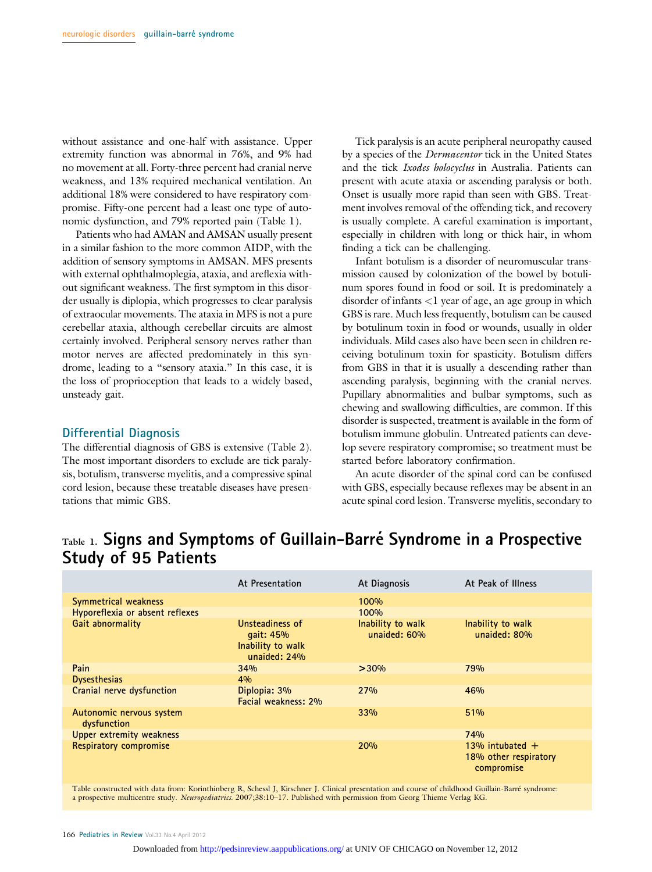without assistance and one-half with assistance. Upper extremity function was abnormal in 76%, and 9% had no movement at all. Forty-three percent had cranial nerve weakness, and 13% required mechanical ventilation. An additional 18% were considered to have respiratory compromise. Fifty-one percent had a least one type of autonomic dysfunction, and 79% reported pain (Table 1).

Patients who had AMAN and AMSAN usually present in a similar fashion to the more common AIDP, with the addition of sensory symptoms in AMSAN. MFS presents with external ophthalmoplegia, ataxia, and areflexia without significant weakness. The first symptom in this disorder usually is diplopia, which progresses to clear paralysis of extraocular movements. The ataxia in MFS is not a pure cerebellar ataxia, although cerebellar circuits are almost certainly involved. Peripheral sensory nerves rather than motor nerves are affected predominately in this syndrome, leading to a "sensory ataxia." In this case, it is the loss of proprioception that leads to a widely based, unsteady gait.

### Differential Diagnosis

The differential diagnosis of GBS is extensive (Table 2). The most important disorders to exclude are tick paralysis, botulism, transverse myelitis, and a compressive spinal cord lesion, because these treatable diseases have presentations that mimic GBS.

Tick paralysis is an acute peripheral neuropathy caused by a species of the Dermacentor tick in the United States and the tick Ixodes holocyclus in Australia. Patients can present with acute ataxia or ascending paralysis or both. Onset is usually more rapid than seen with GBS. Treatment involves removal of the offending tick, and recovery is usually complete. A careful examination is important, especially in children with long or thick hair, in whom finding a tick can be challenging.

Infant botulism is a disorder of neuromuscular transmission caused by colonization of the bowel by botulinum spores found in food or soil. It is predominately a disorder of infants <1 year of age, an age group in which GBS is rare. Much less frequently, botulism can be caused by botulinum toxin in food or wounds, usually in older individuals. Mild cases also have been seen in children receiving botulinum toxin for spasticity. Botulism differs from GBS in that it is usually a descending rather than ascending paralysis, beginning with the cranial nerves. Pupillary abnormalities and bulbar symptoms, such as chewing and swallowing difficulties, are common. If this disorder is suspected, treatment is available in the form of botulism immune globulin. Untreated patients can develop severe respiratory compromise; so treatment must be started before laboratory confirmation.

An acute disorder of the spinal cord can be confused with GBS, especially because reflexes may be absent in an acute spinal cord lesion. Transverse myelitis, secondary to

# Table 1. Signs and Symptoms of Guillain-Barré Syndrome in a Prospective Study of 95 Patients

|                                         | At Presentation                                                   | At Diagnosis                      | At Peak of Illness                                       |
|-----------------------------------------|-------------------------------------------------------------------|-----------------------------------|----------------------------------------------------------|
| Symmetrical weakness                    |                                                                   | 100%                              |                                                          |
| Hyporeflexia or absent reflexes         |                                                                   | 100%                              |                                                          |
| Gait abnormality                        | Unsteadiness of<br>qait: 45%<br>Inability to walk<br>unaided: 24% | Inability to walk<br>unaided: 60% | Inability to walk<br>unaided: 80%                        |
| Pain                                    | 34%                                                               | >30%                              | 79%                                                      |
| <b>Dysesthesias</b>                     | 4%                                                                |                                   |                                                          |
| Cranial nerve dysfunction               | Diplopia: 3%<br>Facial weakness: 2%                               | 27%                               | 46%                                                      |
| Autonomic nervous system<br>dysfunction |                                                                   | 33%                               | 51%                                                      |
| <b>Upper extremity weakness</b>         |                                                                   |                                   | 74%                                                      |
| <b>Respiratory compromise</b>           |                                                                   | 20%                               | 13% intubated $+$<br>18% other respiratory<br>compromise |

Table constructed with data from: Korinthinberg R, Schessl J, Kirschner J. Clinical presentation and course of childhood Guillain-Barré syndrome: a prospective multicentre study. Neuropediatrics. 2007;38:10–17. Published with permission from Georg Thieme Verlag KG.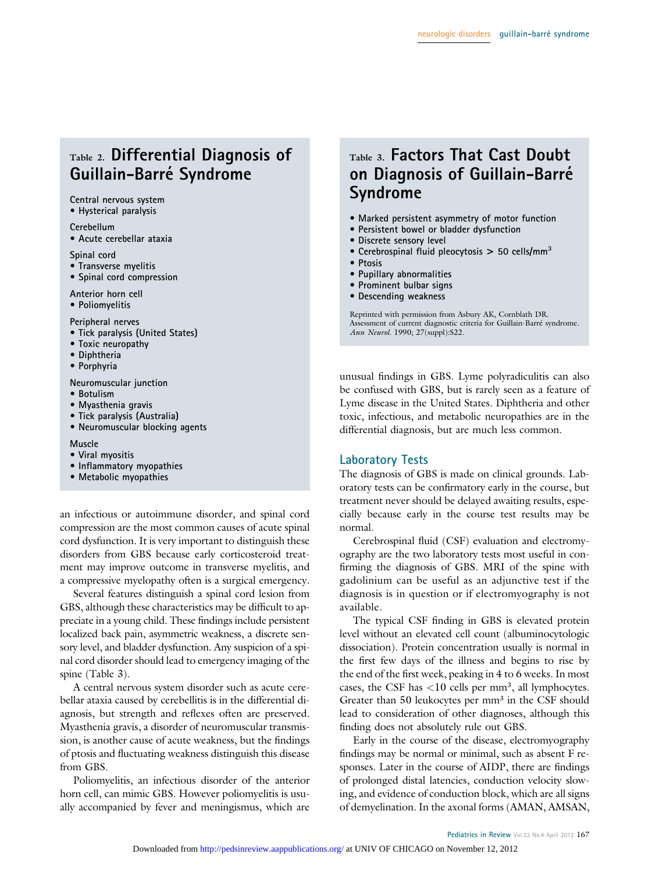# Table 2. Differential Diagnosis of Guillain-Barré Syndrome

### Central nervous system

• Hysterical paralysis

### Cerebellum

• Acute cerebellar ataxia

Spinal cord

- Transverse myelitis
- Spinal cord compression

Anterior horn cell • Poliomyelitis

Peripheral nerves

- Tick paralysis (United States)
- Toxic neuropathy
- Diphtheria
- Porphyria

Neuromuscular junction

- Botulism
- Myasthenia gravis
- Tick paralysis (Australia)
- Neuromuscular blocking agents

### Muscle

- Viral myositis
- Inflammatory myopathies
- Metabolic myopathies

an infectious or autoimmune disorder, and spinal cord compression are the most common causes of acute spinal cord dysfunction. It is very important to distinguish these disorders from GBS because early corticosteroid treatment may improve outcome in transverse myelitis, and a compressive myelopathy often is a surgical emergency.

Several features distinguish a spinal cord lesion from GBS, although these characteristics may be difficult to appreciate in a young child. These findings include persistent localized back pain, asymmetric weakness, a discrete sensory level, and bladder dysfunction. Any suspicion of a spinal cord disorder should lead to emergency imaging of the spine (Table 3).

A central nervous system disorder such as acute cerebellar ataxia caused by cerebellitis is in the differential diagnosis, but strength and reflexes often are preserved. Myasthenia gravis, a disorder of neuromuscular transmission, is another cause of acute weakness, but the findings of ptosis and fluctuating weakness distinguish this disease from GBS.

Poliomyelitis, an infectious disorder of the anterior horn cell, can mimic GBS. However poliomyelitis is usually accompanied by fever and meningismus, which are

# Table 3. Factors That Cast Doubt on Diagnosis of Guillain-Barré Syndrome

- Marked persistent asymmetry of motor function
- Persistent bowel or bladder dysfunction
- Discrete sensory level
- Cerebrospinal fluid pleocytosis  $> 50$  cells/mm<sup>3</sup>
- Ptosis
- Pupillary abnormalities
- Prominent bulbar signs
- Descending weakness

Reprinted with permission from Asbury AK, Cornblath DR. Assessment of current diagnostic criteria for Guillain-Barré syndrome. Ann Neurol. 1990; 27(suppl):S22.

unusual findings in GBS. Lyme polyradiculitis can also be confused with GBS, but is rarely seen as a feature of Lyme disease in the United States. Diphtheria and other toxic, infectious, and metabolic neuropathies are in the differential diagnosis, but are much less common.

### Laboratory Tests

The diagnosis of GBS is made on clinical grounds. Laboratory tests can be confirmatory early in the course, but treatment never should be delayed awaiting results, especially because early in the course test results may be normal.

Cerebrospinal fluid (CSF) evaluation and electromyography are the two laboratory tests most useful in confirming the diagnosis of GBS. MRI of the spine with gadolinium can be useful as an adjunctive test if the diagnosis is in question or if electromyography is not available.

The typical CSF finding in GBS is elevated protein level without an elevated cell count (albuminocytologic dissociation). Protein concentration usually is normal in the first few days of the illness and begins to rise by the end of the first week, peaking in 4 to 6 weeks. In most cases, the CSF has  $<$ 10 cells per mm<sup>3</sup>, all lymphocytes. Greater than 50 leukocytes per mm<sup>3</sup> in the CSF should lead to consideration of other diagnoses, although this finding does not absolutely rule out GBS.

Early in the course of the disease, electromyography findings may be normal or minimal, such as absent F responses. Later in the course of AIDP, there are findings of prolonged distal latencies, conduction velocity slowing, and evidence of conduction block, which are all signs of demyelination. In the axonal forms (AMAN, AMSAN,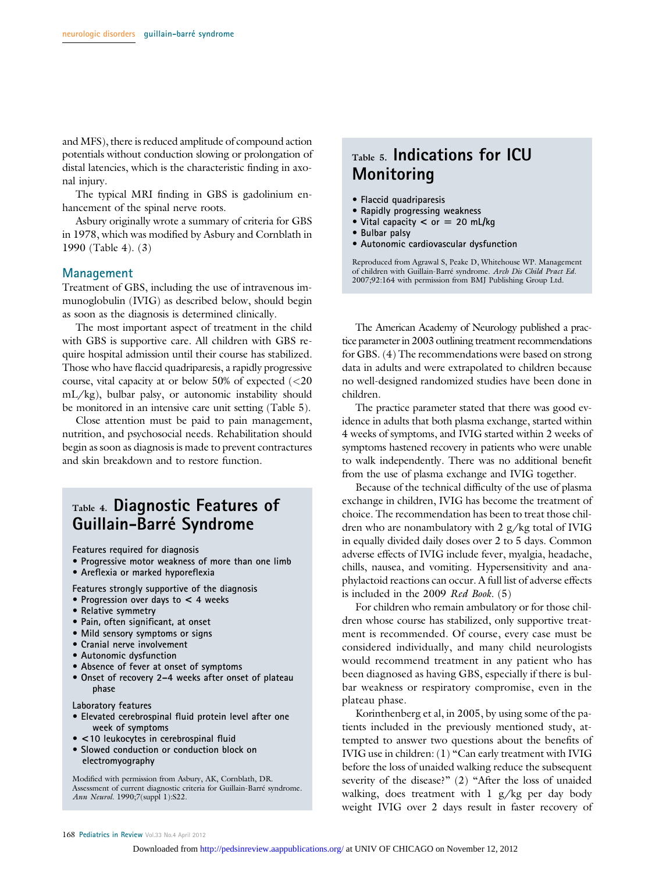and MFS), there is reduced amplitude of compound action potentials without conduction slowing or prolongation of distal latencies, which is the characteristic finding in axonal injury.

The typical MRI finding in GBS is gadolinium enhancement of the spinal nerve roots.

Asbury originally wrote a summary of criteria for GBS in 1978, which was modified by Asbury and Cornblath in 1990 (Table 4). (3)

### Management

Treatment of GBS, including the use of intravenous immunoglobulin (IVIG) as described below, should begin as soon as the diagnosis is determined clinically.

The most important aspect of treatment in the child with GBS is supportive care. All children with GBS require hospital admission until their course has stabilized. Those who have flaccid quadriparesis, a rapidly progressive course, vital capacity at or below 50% of expected  $\langle$  <20 mL/kg), bulbar palsy, or autonomic instability should be monitored in an intensive care unit setting (Table 5).

Close attention must be paid to pain management, nutrition, and psychosocial needs. Rehabilitation should begin as soon as diagnosis is made to prevent contractures and skin breakdown and to restore function.

# Table 4. Diagnostic Features of Guillain-Barré Syndrome

Features required for diagnosis

- Progressive motor weakness of more than one limb
- Areflexia or marked hyporeflexia

Features strongly supportive of the diagnosis

- Progression over days to < 4 weeks
- Relative symmetry
- Pain, often significant, at onset
- Mild sensory symptoms or signs
- Cranial nerve involvement
- Autonomic dysfunction
- Absence of fever at onset of symptoms
- Onset of recovery 2–4 weeks after onset of plateau phase

Laboratory features

- Elevated cerebrospinal fluid protein level after one week of symptoms
- <10 leukocytes in cerebrospinal fluid
- Slowed conduction or conduction block on electromyography

Modified with permission from Asbury, AK, Cornblath, DR. Assessment of current diagnostic criteria for Guillain-Barré syndrome. Ann Neurol. 1990;7(suppl 1):S22.

# Table 5. Indications for ICU Monitoring

- Flaccid quadriparesis
- Rapidly progressing weakness
- Vital capacity  $<$  or  $=$  20 mL/kg
- Bulbar palsy
- Autonomic cardiovascular dysfunction

Reproduced from Agrawal S, Peake D, Whitehouse WP. Management of children with Guillain-Barré syndrome. Arch Dis Child Pract Ed. 2007;92:164 with permission from BMJ Publishing Group Ltd.

The American Academy of Neurology published a practice parameter in 2003 outlining treatment recommendations for GBS. (4) The recommendations were based on strong data in adults and were extrapolated to children because no well-designed randomized studies have been done in children.

The practice parameter stated that there was good evidence in adults that both plasma exchange, started within 4 weeks of symptoms, and IVIG started within 2 weeks of symptoms hastened recovery in patients who were unable to walk independently. There was no additional benefit from the use of plasma exchange and IVIG together.

Because of the technical difficulty of the use of plasma exchange in children, IVIG has become the treatment of choice. The recommendation has been to treat those children who are nonambulatory with 2 g/kg total of IVIG in equally divided daily doses over 2 to 5 days. Common adverse effects of IVIG include fever, myalgia, headache, chills, nausea, and vomiting. Hypersensitivity and anaphylactoid reactions can occur. A full list of adverse effects is included in the 2009 Red Book. (5)

For children who remain ambulatory or for those children whose course has stabilized, only supportive treatment is recommended. Of course, every case must be considered individually, and many child neurologists would recommend treatment in any patient who has been diagnosed as having GBS, especially if there is bulbar weakness or respiratory compromise, even in the plateau phase.

Korinthenberg et al, in 2005, by using some of the patients included in the previously mentioned study, attempted to answer two questions about the benefits of IVIG use in children: (1) "Can early treatment with IVIG before the loss of unaided walking reduce the subsequent severity of the disease?" (2) "After the loss of unaided walking, does treatment with 1 g/kg per day body weight IVIG over 2 days result in faster recovery of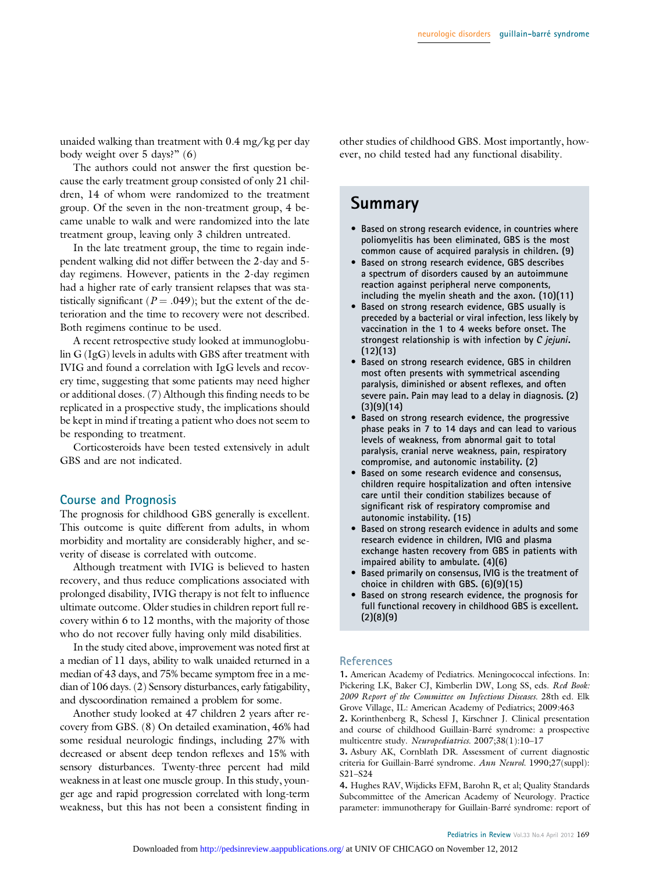unaided walking than treatment with 0.4 mg/kg per day body weight over 5 days?" (6)

The authors could not answer the first question because the early treatment group consisted of only 21 children, 14 of whom were randomized to the treatment group. Of the seven in the non-treatment group, 4 became unable to walk and were randomized into the late treatment group, leaving only 3 children untreated.

In the late treatment group, the time to regain independent walking did not differ between the 2-day and 5 day regimens. However, patients in the 2-day regimen had a higher rate of early transient relapses that was statistically significant ( $P = .049$ ); but the extent of the deterioration and the time to recovery were not described. Both regimens continue to be used.

A recent retrospective study looked at immunoglobulin G (IgG) levels in adults with GBS after treatment with IVIG and found a correlation with IgG levels and recovery time, suggesting that some patients may need higher or additional doses. (7) Although this finding needs to be replicated in a prospective study, the implications should be kept in mind if treating a patient who does not seem to be responding to treatment.

Corticosteroids have been tested extensively in adult GBS and are not indicated.

### Course and Prognosis

The prognosis for childhood GBS generally is excellent. This outcome is quite different from adults, in whom morbidity and mortality are considerably higher, and severity of disease is correlated with outcome.

Although treatment with IVIG is believed to hasten recovery, and thus reduce complications associated with prolonged disability, IVIG therapy is not felt to influence ultimate outcome. Older studies in children report full recovery within 6 to 12 months, with the majority of those who do not recover fully having only mild disabilities.

In the study cited above, improvement was noted first at a median of 11 days, ability to walk unaided returned in a median of 43 days, and 75% became symptom free in a median of 106 days. (2) Sensory disturbances, early fatigability, and dyscoordination remained a problem for some.

Another study looked at 47 children 2 years after recovery from GBS. (8) On detailed examination, 46% had some residual neurologic findings, including 27% with decreased or absent deep tendon reflexes and 15% with sensory disturbances. Twenty-three percent had mild weakness in at least one muscle group. In this study, younger age and rapid progression correlated with long-term weakness, but this has not been a consistent finding in other studies of childhood GBS. Most importantly, however, no child tested had any functional disability.

# Summary

- Based on strong research evidence, in countries where poliomyelitis has been eliminated, GBS is the most common cause of acquired paralysis in children. (9)
- Based on strong research evidence, GBS describes a spectrum of disorders caused by an autoimmune reaction against peripheral nerve components, including the myelin sheath and the axon. (10)(11)
- Based on strong research evidence, GBS usually is preceded by a bacterial or viral infection, less likely by vaccination in the 1 to 4 weeks before onset. The strongest relationship is with infection by C jejuni.  $(12)(13)$
- Based on strong research evidence, GBS in children most often presents with symmetrical ascending paralysis, diminished or absent reflexes, and often severe pain. Pain may lead to a delay in diagnosis. (2)  $(3)(9)(14)$
- Based on strong research evidence, the progressive phase peaks in 7 to 14 days and can lead to various levels of weakness, from abnormal gait to total paralysis, cranial nerve weakness, pain, respiratory compromise, and autonomic instability. (2)
- Based on some research evidence and consensus, children require hospitalization and often intensive care until their condition stabilizes because of significant risk of respiratory compromise and autonomic instability. (15)
- Based on strong research evidence in adults and some research evidence in children, IVIG and plasma exchange hasten recovery from GBS in patients with impaired ability to ambulate. (4)(6)
- Based primarily on consensus, IVIG is the treatment of choice in children with GBS. (6)(9)(15)
- Based on strong research evidence, the prognosis for full functional recovery in childhood GBS is excellent.  $(2)(8)(9)$

### **References**

1. American Academy of Pediatrics. Meningococcal infections. In: Pickering LK, Baker CJ, Kimberlin DW, Long SS, eds. Red Book: 2009 Report of the Committee on Infectious Diseases. 28th ed. Elk Grove Village, IL: American Academy of Pediatrics; 2009:463

2. Korinthenberg R, Schessl J, Kirschner J. Clinical presentation and course of childhood Guillain-Barré syndrome: a prospective multicentre study. Neuropediatrics. 2007;38(1):10–17

3. Asbury AK, Cornblath DR. Assessment of current diagnostic criteria for Guillain-Barré syndrome. Ann Neurol. 1990;27(suppl): S21–S24

4. Hughes RAV, Wijdicks EFM, Barohn R, et al; Quality Standards Subcommittee of the American Academy of Neurology. Practice parameter: immunotherapy for Guillain-Barré syndrome: report of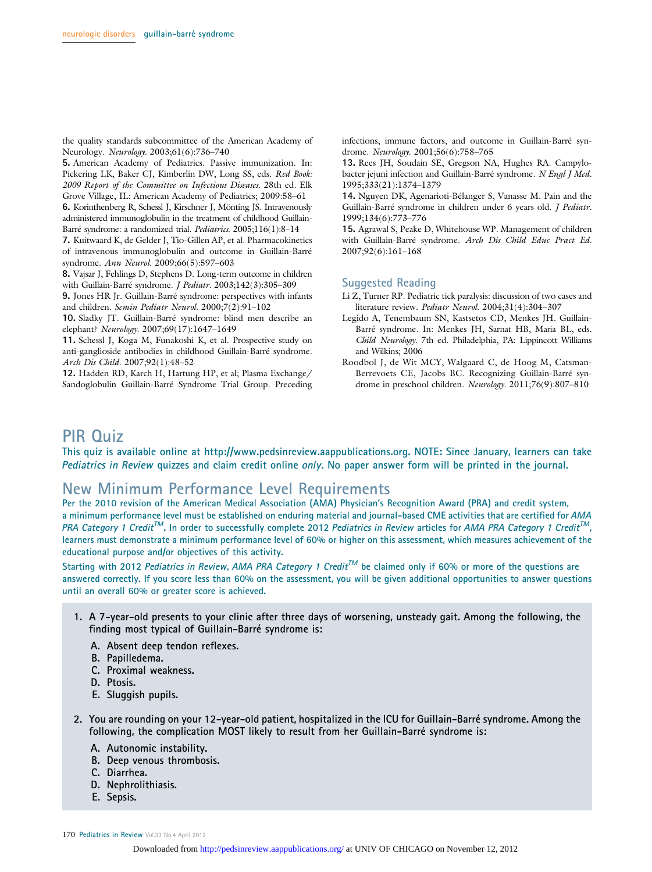the quality standards subcommittee of the American Academy of Neurology. Neurology. 2003;61(6):736-740

5. American Academy of Pediatrics. Passive immunization. In: Pickering LK, Baker CJ, Kimberlin DW, Long SS, eds. Red Book: 2009 Report of the Committee on Infectious Diseases. 28th ed. Elk Grove Village, IL: American Academy of Pediatrics; 2009:58–61

6. Korinthenberg R, Schessl J, Kirschner J, Mönting JS. Intravenously administered immunoglobulin in the treatment of childhood Guillain-Barré syndrome: a randomized trial. Pediatrics. 2005;116(1):8–14

7. Kuitwaard K, de Gelder J, Tio-Gillen AP, et al. Pharmacokinetics of intravenous immunoglobulin and outcome in Guillain-Barré syndrome. Ann Neurol. 2009;66(5):597–603

8. Vajsar J, Fehlings D, Stephens D. Long-term outcome in children with Guillain-Barré syndrome. J Pediatr. 2003;142(3):305–309

9. Jones HR Jr. Guillain-Barré syndrome: perspectives with infants and children. Semin Pediatr Neurol. 2000;7(2):91–102

10. Sladky JT. Guillain-Barré syndrome: blind men describe an elephant? Neurology. 2007;69(17):1647–1649

11. Schessl J, Koga M, Funakoshi K, et al. Prospective study on anti-ganglioside antibodies in childhood Guillain-Barré syndrome. Arch Dis Child. 2007;92(1):48–52

12. Hadden RD, Karch H, Hartung HP, et al; Plasma Exchange/ Sandoglobulin Guillain-Barré Syndrome Trial Group. Preceding infections, immune factors, and outcome in Guillain-Barré syndrome. Neurology. 2001;56(6):758–765

13. Rees JH, Soudain SE, Gregson NA, Hughes RA. Campylobacter jejuni infection and Guillain-Barré syndrome. N Engl J Med. 1995;333(21):1374–1379

14. Nguyen DK, Agenarioti-Bélanger S, Vanasse M. Pain and the Guillain-Barré syndrome in children under 6 years old. J Pediatr. 1999;134(6):773–776

15. Agrawal S, Peake D, Whitehouse WP. Management of children with Guillain-Barré syndrome. Arch Dis Child Educ Pract Ed. 2007;92(6):161–168

### Suggested Reading

- Li Z, Turner RP. Pediatric tick paralysis: discussion of two cases and literature review. Pediatr Neurol. 2004;31(4):304–307
- Legido A, Tenembaum SN, Kastsetos CD, Menkes JH. Guillain-Barré syndrome. In: Menkes JH, Sarnat HB, Maria BL, eds. Child Neurology. 7th ed. Philadelphia, PA: Lippincott Williams and Wilkins; 2006
- Roodbol J, de Wit MCY, Walgaard C, de Hoog M, Catsman-Berrevoets CE, Jacobs BC. Recognizing Guillain-Barré syndrome in preschool children. Neurology. 2011;76(9):807–810

# PIR Quiz

This quiz is available online at http://www.pedsinreview.aappublications.org. NOTE: Since January, learners can take Pediatrics in Review quizzes and claim credit online only. No paper answer form will be printed in the journal.

## New Minimum Performance Level Requirements

Per the 2010 revision of the American Medical Association (AMA) Physician's Recognition Award (PRA) and credit system, a minimum performance level must be established on enduring material and journal-based CME activities that are certified for AMA PRA Category 1 Credit<sup>TM</sup>. In order to successfully complete 2012 Pediatrics in Review articles for AMA PRA Category 1 Credit<sup>TM</sup>, learners must demonstrate a minimum performance level of 60% or higher on this assessment, which measures achievement of the educational purpose and/or objectives of this activity.

Starting with 2012 Pediatrics in Review, AMA PRA Category 1 Credit<sup>TM</sup> be claimed only if 60% or more of the questions are answered correctly. If you score less than 60% on the assessment, you will be given additional opportunities to answer questions until an overall 60% or greater score is achieved.

- 1. A 7-year-old presents to your clinic after three days of worsening, unsteady gait. Among the following, the finding most typical of Guillain-Barré syndrome is:
	- A. Absent deep tendon reflexes.
	- B. Papilledema.
	- C. Proximal weakness.
	- D. Ptosis.
	- E. Sluggish pupils.
- 2. You are rounding on your 12-year-old patient, hospitalized in the ICU for Guillain-Barré syndrome. Among the following, the complication MOST likely to result from her Guillain-Barré syndrome is:
	- A. Autonomic instability.
	- B. Deep venous thrombosis.
	- C. Diarrhea.
	- D. Nephrolithiasis.
	- E. Sepsis.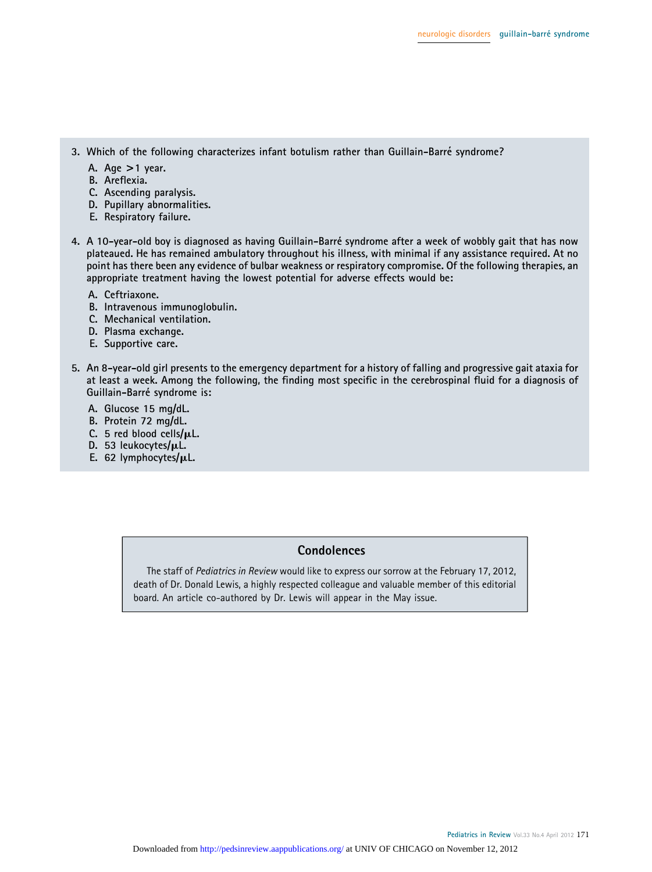- 3. Which of the following characterizes infant botulism rather than Guillain-Barré syndrome?
	- A. Age  $>1$  year.
	- B. Areflexia.
	- C. Ascending paralysis.
	- D. Pupillary abnormalities.
	- E. Respiratory failure.
- 4. A 10-year-old boy is diagnosed as having Guillain-Barre´ syndrome after a week of wobbly gait that has now plateaued. He has remained ambulatory throughout his illness, with minimal if any assistance required. At no point has there been any evidence of bulbar weakness or respiratory compromise. Of the following therapies, an appropriate treatment having the lowest potential for adverse effects would be:
	- A. Ceftriaxone.
	- B. Intravenous immunoglobulin.
	- C. Mechanical ventilation.
	- D. Plasma exchange.
	- E. Supportive care.
- 5. An 8-year-old girl presents to the emergency department for a history of falling and progressive gait ataxia for at least a week. Among the following, the finding most specific in the cerebrospinal fluid for a diagnosis of Guillain-Barré syndrome is:
	- A. Glucose 15 mg/dL.
	- B. Protein 72 mg/dL.
	- C. 5 red blood cells/ $\mu$ L.
	- D. 53 leukocytes/µL.
	- E. 62 lymphocytes/ $\mu$ L.

### **Condolences**

The staff of Pediatrics in Review would like to express our sorrow at the February 17, 2012, death of Dr. Donald Lewis, a highly respected colleague and valuable member of this editorial board. An article co-authored by Dr. Lewis will appear in the May issue.